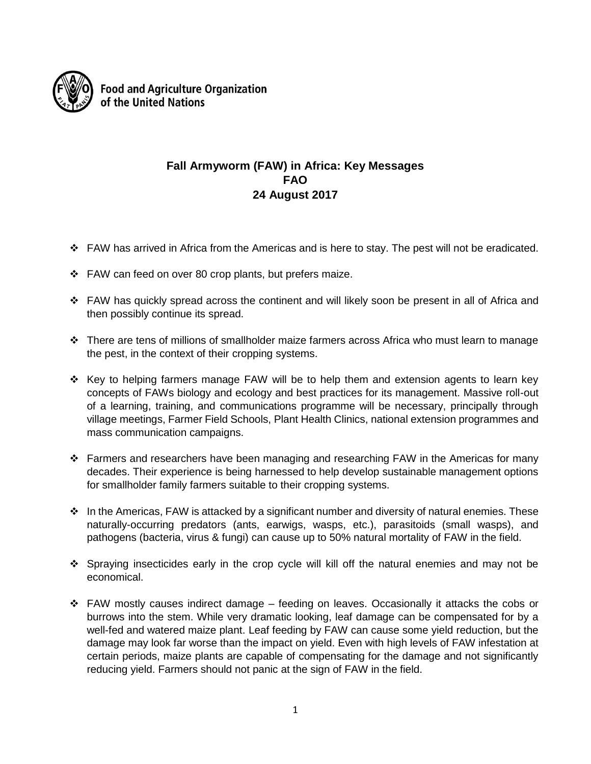

**Food and Agriculture Organization** of the United Nations

## **Fall Armyworm (FAW) in Africa: Key Messages FAO 24 August 2017**

- $\div$  FAW has arrived in Africa from the Americas and is here to stay. The pest will not be eradicated.
- $\div$  FAW can feed on over 80 crop plants, but prefers maize.
- $\div$  FAW has quickly spread across the continent and will likely soon be present in all of Africa and then possibly continue its spread.
- There are tens of millions of smallholder maize farmers across Africa who must learn to manage the pest, in the context of their cropping systems.
- $\div$  Key to helping farmers manage FAW will be to help them and extension agents to learn key concepts of FAWs biology and ecology and best practices for its management. Massive roll-out of a learning, training, and communications programme will be necessary, principally through village meetings, Farmer Field Schools, Plant Health Clinics, national extension programmes and mass communication campaigns.
- $\div$  Farmers and researchers have been managing and researching FAW in the Americas for many decades. Their experience is being harnessed to help develop sustainable management options for smallholder family farmers suitable to their cropping systems.
- $\cdot \cdot$  In the Americas, FAW is attacked by a significant number and diversity of natural enemies. These naturally-occurring predators (ants, earwigs, wasps, etc.), parasitoids (small wasps), and pathogens (bacteria, virus & fungi) can cause up to 50% natural mortality of FAW in the field.
- $\div$  Spraying insecticides early in the crop cycle will kill off the natural enemies and may not be economical.
- $\div$  FAW mostly causes indirect damage feeding on leaves. Occasionally it attacks the cobs or burrows into the stem. While very dramatic looking, leaf damage can be compensated for by a well-fed and watered maize plant. Leaf feeding by FAW can cause some yield reduction, but the damage may look far worse than the impact on yield. Even with high levels of FAW infestation at certain periods, maize plants are capable of compensating for the damage and not significantly reducing yield. Farmers should not panic at the sign of FAW in the field.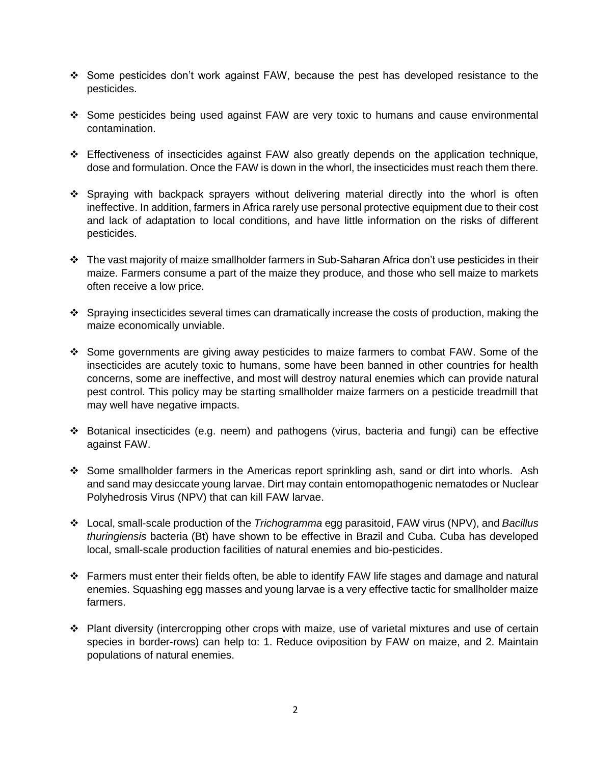- Some pesticides don't work against FAW, because the pest has developed resistance to the pesticides.
- Some pesticides being used against FAW are very toxic to humans and cause environmental contamination.
- Effectiveness of insecticides against FAW also greatly depends on the application technique, dose and formulation. Once the FAW is down in the whorl, the insecticides must reach them there.
- Spraying with backpack sprayers without delivering material directly into the whorl is often ineffective. In addition, farmers in Africa rarely use personal protective equipment due to their cost and lack of adaptation to local conditions, and have little information on the risks of different pesticides.
- $\cdot \cdot$  The vast majority of maize smallholder farmers in Sub-Saharan Africa don't use pesticides in their maize. Farmers consume a part of the maize they produce, and those who sell maize to markets often receive a low price.
- Spraying insecticides several times can dramatically increase the costs of production, making the maize economically unviable.
- Some governments are giving away pesticides to maize farmers to combat FAW. Some of the insecticides are acutely toxic to humans, some have been banned in other countries for health concerns, some are ineffective, and most will destroy natural enemies which can provide natural pest control. This policy may be starting smallholder maize farmers on a pesticide treadmill that may well have negative impacts.
- Botanical insecticides (e.g. neem) and pathogens (virus, bacteria and fungi) can be effective against FAW.
- Some smallholder farmers in the Americas report sprinkling ash, sand or dirt into whorls. Ash and sand may desiccate young larvae. Dirt may contain entomopathogenic nematodes or Nuclear Polyhedrosis Virus (NPV) that can kill FAW larvae.
- Local, small-scale production of the *Trichogramma* egg parasitoid, FAW virus (NPV), and *Bacillus thuringiensis* bacteria (Bt) have shown to be effective in Brazil and Cuba. Cuba has developed local, small-scale production facilities of natural enemies and bio-pesticides.
- Farmers must enter their fields often, be able to identify FAW life stages and damage and natural enemies. Squashing egg masses and young larvae is a very effective tactic for smallholder maize farmers.
- Plant diversity (intercropping other crops with maize, use of varietal mixtures and use of certain species in border-rows) can help to: 1. Reduce oviposition by FAW on maize, and 2. Maintain populations of natural enemies.